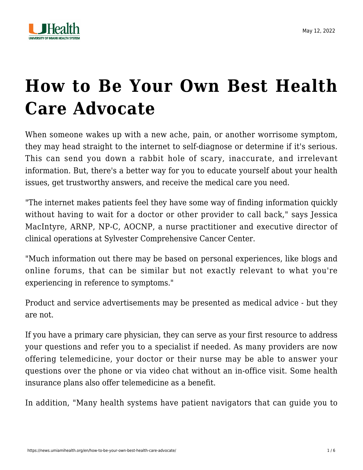

## **[How to Be Your Own Best Health](https://news.umiamihealth.org/en/how-to-be-your-own-best-health-care-advocate/) [Care Advocate](https://news.umiamihealth.org/en/how-to-be-your-own-best-health-care-advocate/)**

When someone wakes up with a new ache, pain, or another worrisome symptom, they may head straight to the internet to self-diagnose or determine if it's serious. This can send you down a rabbit hole of scary, inaccurate, and irrelevant information. But, there's a better way for you to educate yourself about your health issues, get trustworthy answers, and receive the medical care you need.

"The internet makes patients feel they have some way of finding information quickly without having to wait for a doctor or other provider to call back," says Jessica MacIntyre, ARNP, NP-C, AOCNP, a nurse practitioner and executive director of clinical operations at Sylvester Comprehensive Cancer Center.

"Much information out there may be based on personal experiences, like blogs and online forums, that can be similar but not exactly relevant to what you're experiencing in reference to symptoms."

Product and service advertisements may be presented as medical advice - but they are not.

If you have a primary care physician, they can serve as your first resource to address your questions and refer you to a specialist if needed. As many providers are now offering telemedicine, your doctor or their nurse may be able to answer your questions over the phone or via video chat without an in-office visit. Some health insurance plans also offer telemedicine as a benefit.

In addition, "Many health systems have patient navigators that can guide you to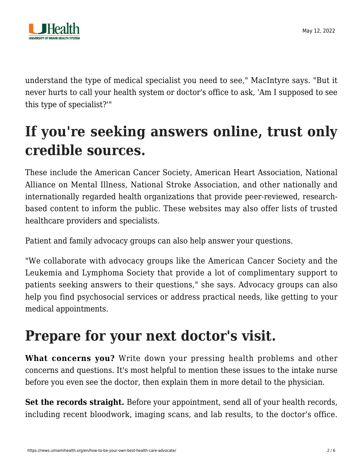

understand the type of medical specialist you need to see," MacIntyre says. "But it never hurts to call your health system or doctor's office to ask, 'Am I supposed to see this type of specialist?'"

## **If you're seeking answers online, trust only credible sources.**

These include the American Cancer Society, American Heart Association, National Alliance on Mental Illness, National Stroke Association, and other nationally and internationally regarded health organizations that provide peer-reviewed, researchbased content to inform the public. These websites may also offer lists of trusted healthcare providers and specialists.

Patient and family advocacy groups can also help answer your questions.

"We collaborate with advocacy groups like the American Cancer Society and the Leukemia and Lymphoma Society that provide a lot of complimentary support to patients seeking answers to their questions," she says. Advocacy groups can also help you find psychosocial services or address practical needs, like getting to your medical appointments.

## **Prepare for your next doctor's visit.**

**What concerns you?** Write down your pressing health problems and other concerns and questions. It's most helpful to mention these issues to the intake nurse before you even see the doctor, then explain them in more detail to the physician.

Set the records straight. Before your appointment, send all of your health records, including recent bloodwork, imaging scans, and lab results, to the doctor's office.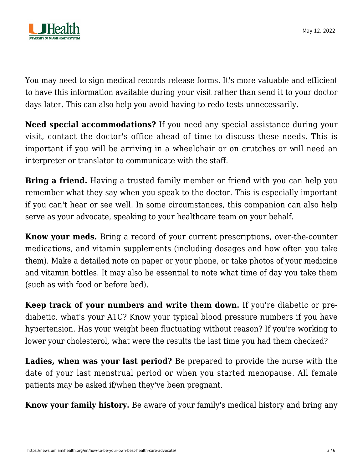

You may need to sign medical records release forms. It's more valuable and efficient to have this information available during your visit rather than send it to your doctor days later. This can also help you avoid having to redo tests unnecessarily.

**Need special accommodations?** If you need any special assistance during your visit, contact the doctor's office ahead of time to discuss these needs. This is important if you will be arriving in a wheelchair or on crutches or will need an interpreter or translator to communicate with the staff.

**Bring a friend.** Having a trusted family member or friend with you can help you remember what they say when you speak to the doctor. This is especially important if you can't hear or see well. In some circumstances, this companion can also help serve as your advocate, speaking to your healthcare team on your behalf.

**Know your meds.** Bring a record of your current prescriptions, over-the-counter medications, and vitamin supplements (including dosages and how often you take them). Make a detailed note on paper or your phone, or take photos of your medicine and vitamin bottles. It may also be essential to note what time of day you take them (such as with food or before bed).

**Keep track of your numbers and write them down.** If you're diabetic or prediabetic, what's your A1C? Know your typical blood pressure numbers if you have hypertension. Has your weight been fluctuating without reason? If you're working to lower your cholesterol, what were the results the last time you had them checked?

**Ladies, when was your last period?** Be prepared to provide the nurse with the date of your last menstrual period or when you started menopause. All female patients may be asked if/when they've been pregnant.

**Know your family history.** Be aware of your family's medical history and bring any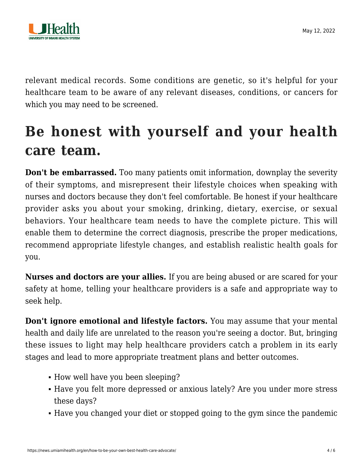

relevant medical records. Some conditions are genetic, so it's helpful for your healthcare team to be aware of any relevant diseases, conditions, or cancers for which you may need to be screened.

## **Be honest with yourself and your health care team.**

**Don't be embarrassed.** Too many patients omit information, downplay the severity of their symptoms, and misrepresent their lifestyle choices when speaking with nurses and doctors because they don't feel comfortable. Be honest if your healthcare provider asks you about your smoking, drinking, dietary, exercise, or sexual behaviors. Your healthcare team needs to have the complete picture. This will enable them to determine the correct diagnosis, prescribe the proper medications, recommend appropriate lifestyle changes, and establish realistic health goals for you.

**Nurses and doctors are your allies.** If you are being abused or are scared for your safety at home, telling your healthcare providers is a safe and appropriate way to seek help.

**Don't ignore emotional and lifestyle factors.** You may assume that your mental health and daily life are unrelated to the reason you're seeing a doctor. But, bringing these issues to light may help healthcare providers catch a problem in its early stages and lead to more appropriate treatment plans and better outcomes.

- How well have you been sleeping?
- Have you felt more depressed or anxious lately? Are you under more stress these days?
- Have you changed your diet or stopped going to the gym since the pandemic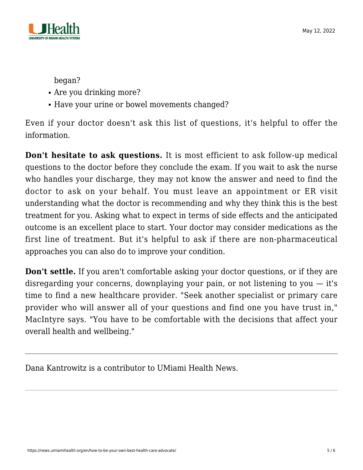

began?

- Are you drinking more?
- Have your urine or bowel movements changed?

Even if your doctor doesn't ask this list of questions, it's helpful to offer the information.

**Don't hesitate to ask questions.** It is most efficient to ask follow-up medical questions to the doctor before they conclude the exam. If you wait to ask the nurse who handles your discharge, they may not know the answer and need to find the doctor to ask on your behalf. You must leave an appointment or ER visit understanding what the doctor is recommending and why they think this is the best treatment for you. Asking what to expect in terms of side effects and the anticipated outcome is an excellent place to start. Your doctor may consider medications as the first line of treatment. But it's helpful to ask if there are non-pharmaceutical approaches you can also do to improve your condition.

**Don't settle.** If you aren't comfortable asking your doctor questions, or if they are disregarding your concerns, downplaying your pain, or not listening to you  $-$  it's time to find a new healthcare provider. "Seek another specialist or primary care provider who will answer all of your questions and find one you have trust in," MacIntyre says. "You have to be comfortable with the decisions that affect your overall health and wellbeing."

Dana Kantrowitz is a contributor to UMiami Health News.